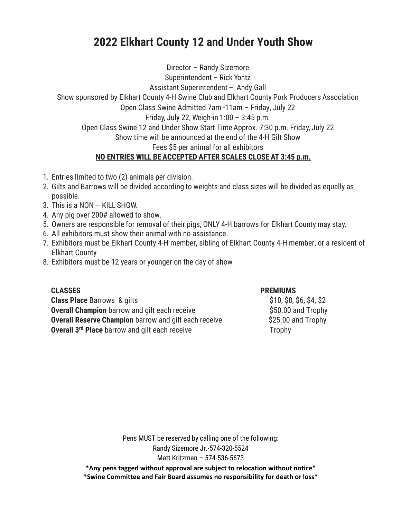## **2022 Elkhart County 12 and Under Youth Show**

Director – Randy Sizemore Superintendent – Rick Yontz Assistant Superintendent – Andy Gall Show sponsored by Elkhart County 4-H Swine Club and Elkhart County Pork Producers Association Open Class Swine Admitted 7am -11am – Friday, July 22 Friday, July 22, Weigh-in 1:00 – 3:45 p.m. Open Class Swine 12 and Under Show Start Time Approx. 7:30 p.m. Friday, July 22 Show time will be announced at the end of the 4-H Gilt Show Fees \$5 per animal for all exhibitors **NO ENTRIES WILL BE ACCEPTED AFTER SCALES CLOSE AT 3:45 p.m.**

- 1. Entries limited to two (2) animals per division.
- 2. Gilts and Barrows will be divided according to weights and class sizes will be divided as equally as possible.
- 3. This is a NON KILL SHOW.
- 4. Any pig over 200# allowed to show.
- 5. Owners are responsible for removal of their pigs, ONLY 4-H barrows for Elkhart County may stay.
- 6. All exhibitors must show their animal with no assistance.
- 7. Exhibitors must be Elkhart County 4-H member, sibling of Elkhart County 4-H member, or a resident of Elkhart County
- 8. Exhibitors must be 12 years or younger on the day of show

**Class Place** Barrows & gilts  $$510, $8, $6, $4, $2$ **Overall Champion** barrow and gilt each receive **\$50.00 and Trophy Overall Reserve Champion** barrow and gilt each receive \$25.00 and Trophy **Overall 3<sup>rd</sup> Place** barrow and gilt each receive Trophy

## **CLASSES PREMIUMS**

Pens MUST be reserved by calling one of the following: Randy Sizemore Jr.-574-320-5524 Matt Kritzman – 574-536-5673 **\*Any pens tagged without approval are subject to relocation without notice\***

**\*Swine Committee and Fair Board assumes no responsibility for death or loss\***